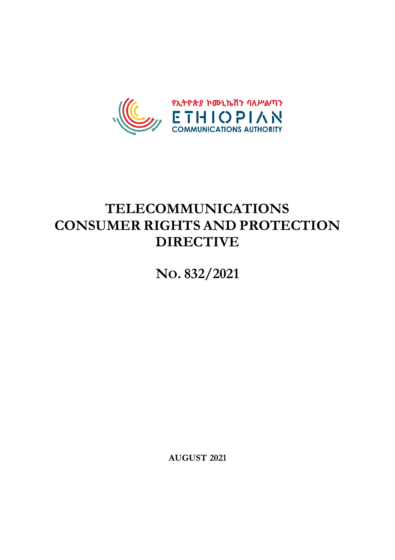

# **TELECOMMUNICATIONS CONSUMER RIGHTS AND PROTECTION DIRECTIVE**

**NO. 832/2021**

**AUGUST 2021**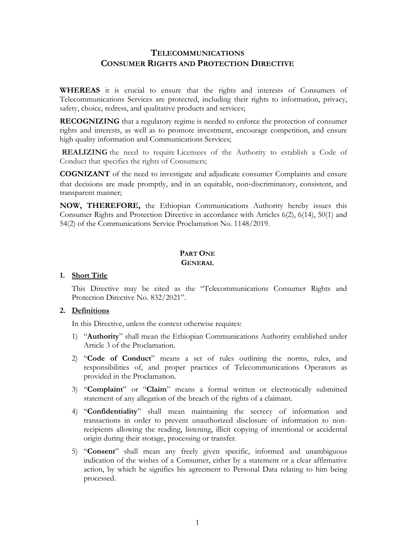# **TELECOMMUNICATIONS CONSUMER RIGHTS AND PROTECTION DIRECTIVE**

**WHEREAS** it is crucial to ensure that the rights and interests of Consumers of Telecommunications Services are protected, including their rights to information, privacy, safety, choice, redress, and qualitative products and services;

**RECOGNIZING** that a regulatory regime is needed to enforce the protection of consumer rights and interests, as well as to promote investment, encourage competition, and ensure high quality information and Communications Services;

**REALIZING** the need to require Licensees of the Authority to establish a Code of Conduct that specifies the rights of Consumers;

**COGNIZANT** of the need to investigate and adjudicate consumer Complaints and ensure that decisions are made promptly, and in an equitable, non‐discriminatory, consistent, and transparent manner;

**NOW, THEREFORE,** the Ethiopian Communications Authority hereby issues this Consumer Rights and Protection Directive in accordance with Articles 6(2), 6(14), 50(1) and 54(2) of the Communications Service Proclamation No. 1148/2019.

# **PART ONE GENERAL**

#### **1. Short Title**

This Directive may be cited as the "Telecommunications Consumer Rights and Protection Directive No. 832/2021".

# **2. Definitions**

In this Directive, unless the context otherwise requires:

- 1) "**Authority**" shall mean the Ethiopian Communications Authority established under Article 3 of the Proclamation.
- 2) "**Code of Conduct**" means a set of rules outlining the norms, rules, and responsibilities of, and proper practices of Telecommunications Operators as provided in the Proclamation.
- 3) "**Complaint**" or "**Claim**" means a formal written or electronically submitted statement of any allegation of the breach of the rights of a claimant.
- 4) "**Confidentiality**" shall mean maintaining the secrecy of information and transactions in order to prevent unauthorized disclosure of information to nonrecipients allowing the reading, listening, illicit copying of intentional or accidental origin during their storage, processing or transfer.
- 5) "**Consent**" shall mean any freely given specific, informed and unambiguous indication of the wishes of a Consumer, either by a statement or a clear affirmative action, by which he signifies his agreement to Personal Data relating to him being processed.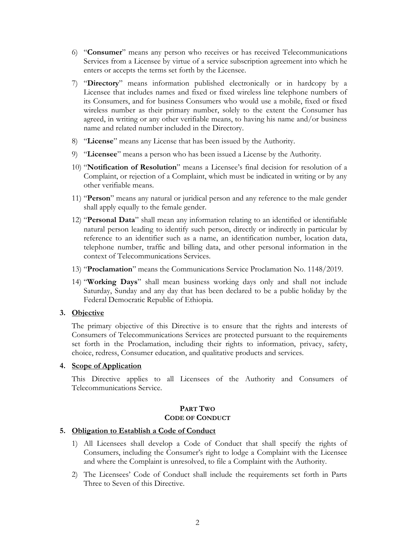- 6) "**Consumer**" means any person who receives or has received Telecommunications Services from a Licensee by virtue of a service subscription agreement into which he enters or accepts the terms set forth by the Licensee.
- 7) "**Directory**" means information published electronically or in hardcopy by a Licensee that includes names and fixed or fixed wireless line telephone numbers of its Consumers, and for business Consumers who would use a mobile, fixed or fixed wireless number as their primary number, solely to the extent the Consumer has agreed, in writing or any other verifiable means, to having his name and/or business name and related number included in the Directory.
- 8) "**License**" means any License that has been issued by the Authority.
- 9) "**Licensee**" means a person who has been issued a License by the Authority.
- 10) "**Notification of Resolution**" means a Licensee's final decision for resolution of a Complaint, or rejection of a Complaint, which must be indicated in writing or by any other verifiable means.
- 11) "**Person**" means any natural or juridical person and any reference to the male gender shall apply equally to the female gender.
- 12) "**Personal Data**" shall mean any information relating to an identified or identifiable natural person leading to identify such person, directly or indirectly in particular by reference to an identifier such as a name, an identification number, location data, telephone number, traffic and billing data, and other personal information in the context of Telecommunications Services.
- 13) "**Proclamation**" means the Communications Service Proclamation No. 1148/2019.
- 14) "**Working Days**" shall mean business working days only and shall not include Saturday, Sunday and any day that has been declared to be a public holiday by the Federal Democratic Republic of Ethiopia.

# **3. Objective**

The primary objective of this Directive is to ensure that the rights and interests of Consumers of Telecommunications Services are protected pursuant to the requirements set forth in the Proclamation, including their rights to information, privacy, safety, choice, redress, Consumer education, and qualitative products and services.

#### **4. Scope of Application**

This Directive applies to all Licensees of the Authority and Consumers of Telecommunications Service.

#### **PART TWO CODE OF CONDUCT**

#### **5. Obligation to Establish a Code of Conduct**

- 1) All Licensees shall develop a Code of Conduct that shall specify the rights of Consumers, including the Consumer's right to lodge a Complaint with the Licensee and where the Complaint is unresolved, to file a Complaint with the Authority.
- 2) The Licensees' Code of Conduct shall include the requirements set forth in Parts Three to Seven of this Directive.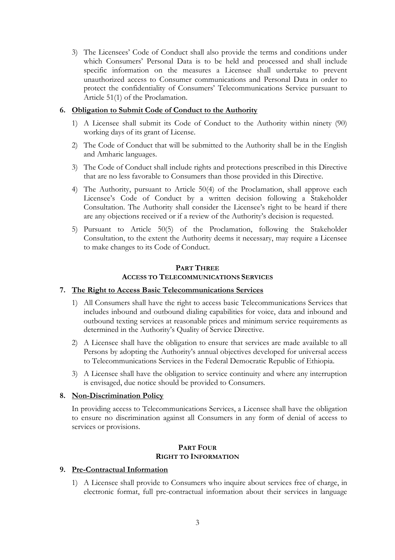3) The Licensees' Code of Conduct shall also provide the terms and conditions under which Consumers' Personal Data is to be held and processed and shall include specific information on the measures a Licensee shall undertake to prevent unauthorized access to Consumer communications and Personal Data in order to protect the confidentiality of Consumers' Telecommunications Service pursuant to Article 51(1) of the Proclamation.

# **6. Obligation to Submit Code of Conduct to the Authority**

- 1) A Licensee shall submit its Code of Conduct to the Authority within ninety (90) working days of its grant of License.
- 2) The Code of Conduct that will be submitted to the Authority shall be in the English and Amharic languages.
- 3) The Code of Conduct shall include rights and protections prescribed in this Directive that are no less favorable to Consumers than those provided in this Directive.
- 4) The Authority, pursuant to Article 50(4) of the Proclamation, shall approve each Licensee's Code of Conduct by a written decision following a Stakeholder Consultation. The Authority shall consider the Licensee's right to be heard if there are any objections received or if a review of the Authority's decision is requested.
- 5) Pursuant to Article 50(5) of the Proclamation, following the Stakeholder Consultation, to the extent the Authority deems it necessary, may require a Licensee to make changes to its Code of Conduct.

# **PART THREE ACCESS TO TELECOMMUNICATIONS SERVICES**

# **7. The Right to Access Basic Telecommunications Services**

- 1) All Consumers shall have the right to access basic Telecommunications Services that includes inbound and outbound dialing capabilities for voice, data and inbound and outbound texting services at reasonable prices and minimum service requirements as determined in the Authority's Quality of Service Directive.
- 2) A Licensee shall have the obligation to ensure that services are made available to all Persons by adopting the Authority's annual objectives developed for universal access to Telecommunications Services in the Federal Democratic Republic of Ethiopia.
- 3) A Licensee shall have the obligation to service continuity and where any interruption is envisaged, due notice should be provided to Consumers.

# **8. Non-Discrimination Policy**

In providing access to Telecommunications Services, a Licensee shall have the obligation to ensure no discrimination against all Consumers in any form of denial of access to services or provisions.

## **PART FOUR RIGHT TO INFORMATION**

# **9. Pre-Contractual Information**

1) A Licensee shall provide to Consumers who inquire about services free of charge, in electronic format, full pre-contractual information about their services in language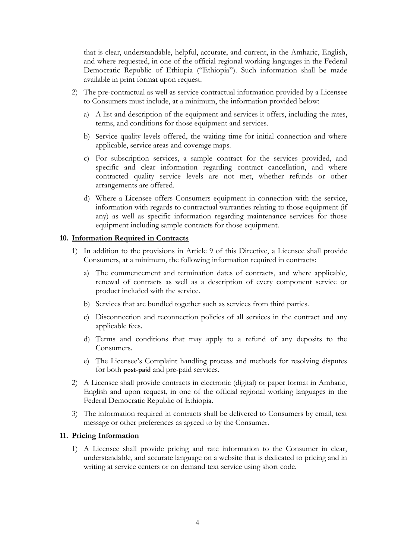that is clear, understandable, helpful, accurate, and current, in the Amharic, English, and where requested, in one of the official regional working languages in the Federal Democratic Republic of Ethiopia ("Ethiopia"). Such information shall be made available in print format upon request.

- 2) The pre-contractual as well as service contractual information provided by a Licensee to Consumers must include, at a minimum, the information provided below:
	- a) A list and description of the equipment and services it offers, including the rates, terms, and conditions for those equipment and services.
	- b) Service quality levels offered, the waiting time for initial connection and where applicable, service areas and coverage maps.
	- c) For subscription services, a sample contract for the services provided, and specific and clear information regarding contract cancellation, and where contracted quality service levels are not met, whether refunds or other arrangements are offered.
	- d) Where a Licensee offers Consumers equipment in connection with the service, information with regards to contractual warranties relating to those equipment (if any) as well as specific information regarding maintenance services for those equipment including sample contracts for those equipment.

## **10. Information Required in Contracts**

- 1) In addition to the provisions in Article 9 of this Directive, a Licensee shall provide Consumers, at a minimum, the following information required in contracts:
	- a) The commencement and termination dates of contracts, and where applicable, renewal of contracts as well as a description of every component service or product included with the service.
	- b) Services that are bundled together such as services from third parties.
	- c) Disconnection and reconnection policies of all services in the contract and any applicable fees.
	- d) Terms and conditions that may apply to a refund of any deposits to the Consumers.
	- e) The Licensee's Complaint handling process and methods for resolving disputes for both post-paid and pre-paid services.
- 2) A Licensee shall provide contracts in electronic (digital) or paper format in Amharic, English and upon request, in one of the official regional working languages in the Federal Democratic Republic of Ethiopia.
- 3) The information required in contracts shall be delivered to Consumers by email, text message or other preferences as agreed to by the Consumer.

# **11. Pricing Information**

1) A Licensee shall provide pricing and rate information to the Consumer in clear, understandable, and accurate language on a website that is dedicated to pricing and in writing at service centers or on demand text service using short code.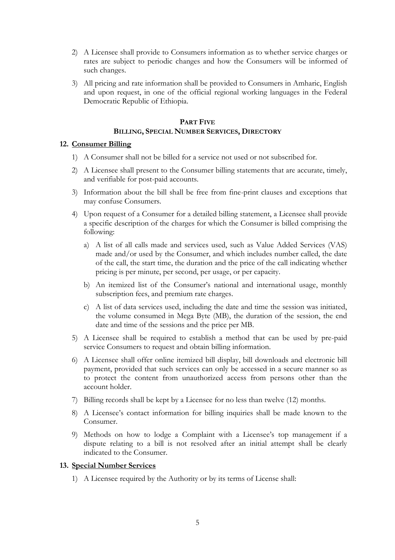- 2) A Licensee shall provide to Consumers information as to whether service charges or rates are subject to periodic changes and how the Consumers will be informed of such changes.
- 3) All pricing and rate information shall be provided to Consumers in Amharic, English and upon request, in one of the official regional working languages in the Federal Democratic Republic of Ethiopia.

# **PART FIVE BILLING, SPECIAL NUMBER SERVICES, DIRECTORY**

# **12. Consumer Billing**

- 1) A Consumer shall not be billed for a service not used or not subscribed for.
- 2) A Licensee shall present to the Consumer billing statements that are accurate, timely, and verifiable for post-paid accounts.
- 3) Information about the bill shall be free from fine-print clauses and exceptions that may confuse Consumers.
- 4) Upon request of a Consumer for a detailed billing statement, a Licensee shall provide a specific description of the charges for which the Consumer is billed comprising the following:
	- a) A list of all calls made and services used, such as Value Added Services (VAS) made and/or used by the Consumer, and which includes number called, the date of the call, the start time, the duration and the price of the call indicating whether pricing is per minute, per second, per usage, or per capacity.
	- b) An itemized list of the Consumer's national and international usage, monthly subscription fees, and premium rate charges.
	- c) A list of data services used, including the date and time the session was initiated, the volume consumed in Mega Byte (MB), the duration of the session, the end date and time of the sessions and the price per MB.
- 5) A Licensee shall be required to establish a method that can be used by pre-paid service Consumers to request and obtain billing information.
- 6) A Licensee shall offer online itemized bill display, bill downloads and electronic bill payment, provided that such services can only be accessed in a secure manner so as to protect the content from unauthorized access from persons other than the account holder.
- 7) Billing records shall be kept by a Licensee for no less than twelve (12) months.
- 8) A Licensee's contact information for billing inquiries shall be made known to the Consumer.
- 9) Methods on how to lodge a Complaint with a Licensee's top management if a dispute relating to a bill is not resolved after an initial attempt shall be clearly indicated to the Consumer.

# **13. Special Number Services**

1) A Licensee required by the Authority or by its terms of License shall: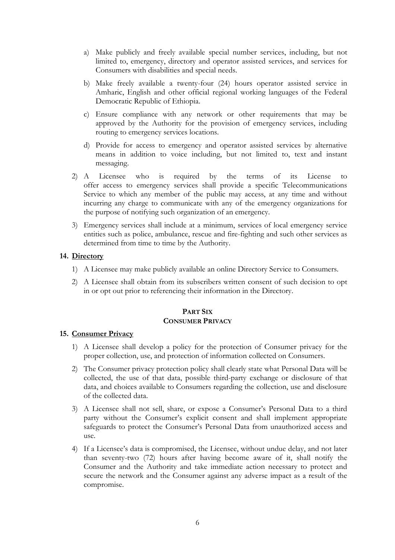- a) Make publicly and freely available special number services, including, but not limited to, emergency, directory and operator assisted services, and services for Consumers with disabilities and special needs.
- b) Make freely available a twenty-four (24) hours operator assisted service in Amharic, English and other official regional working languages of the Federal Democratic Republic of Ethiopia.
- c) Ensure compliance with any network or other requirements that may be approved by the Authority for the provision of emergency services, including routing to emergency services locations.
- d) Provide for access to emergency and operator assisted services by alternative means in addition to voice including, but not limited to, text and instant messaging.
- 2) A Licensee who is required by the terms of its License to offer access to emergency services shall provide a specific Telecommunications Service to which any member of the public may access, at any time and without incurring any charge to communicate with any of the emergency organizations for the purpose of notifying such organization of an emergency.
- 3) Emergency services shall include at a minimum, services of local emergency service entities such as police, ambulance, rescue and fire-fighting and such other services as determined from time to time by the Authority.

# **14. Directory**

- 1) A Licensee may make publicly available an online Directory Service to Consumers.
- 2) A Licensee shall obtain from its subscribers written consent of such decision to opt in or opt out prior to referencing their information in the Directory.

#### **PART SIX CONSUMER PRIVACY**

#### **15. Consumer Privacy**

- 1) A Licensee shall develop a policy for the protection of Consumer privacy for the proper collection, use, and protection of information collected on Consumers.
- 2) The Consumer privacy protection policy shall clearly state what Personal Data will be collected, the use of that data, possible third-party exchange or disclosure of that data, and choices available to Consumers regarding the collection, use and disclosure of the collected data.
- 3) A Licensee shall not sell, share, or expose a Consumer's Personal Data to a third party without the Consumer's explicit consent and shall implement appropriate safeguards to protect the Consumer's Personal Data from unauthorized access and use.
- 4) If a Licensee's data is compromised, the Licensee, without undue delay, and not later than seventy-two (72) hours after having become aware of it, shall notify the Consumer and the Authority and take immediate action necessary to protect and secure the network and the Consumer against any adverse impact as a result of the compromise.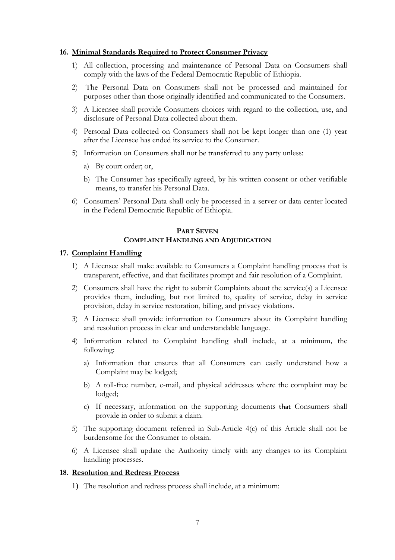#### **16. Minimal Standards Required to Protect Consumer Privacy**

- 1) All collection, processing and maintenance of Personal Data on Consumers shall comply with the laws of the Federal Democratic Republic of Ethiopia.
- 2) The Personal Data on Consumers shall not be processed and maintained for purposes other than those originally identified and communicated to the Consumers.
- 3) A Licensee shall provide Consumers choices with regard to the collection, use, and disclosure of Personal Data collected about them.
- 4) Personal Data collected on Consumers shall not be kept longer than one (1) year after the Licensee has ended its service to the Consumer.
- 5) Information on Consumers shall not be transferred to any party unless:
	- a) By court order; or,
	- b) The Consumer has specifically agreed, by his written consent or other verifiable means, to transfer his Personal Data.
- 6) Consumers' Personal Data shall only be processed in a server or data center located in the Federal Democratic Republic of Ethiopia.

#### **PART SEVEN COMPLAINT HANDLING AND ADJUDICATION**

#### **17. Complaint Handling**

- 1) A Licensee shall make available to Consumers a Complaint handling process that is transparent, effective, and that facilitates prompt and fair resolution of a Complaint.
- 2) Consumers shall have the right to submit Complaints about the service(s) a Licensee provides them, including, but not limited to, quality of service, delay in service provision, delay in service restoration, billing, and privacy violations.
- 3) A Licensee shall provide information to Consumers about its Complaint handling and resolution process in clear and understandable language.
- 4) Information related to Complaint handling shall include, at a minimum, the following:
	- a) Information that ensures that all Consumers can easily understand how a Complaint may be lodged;
	- b) A toll-free number, e-mail, and physical addresses where the complaint may be lodged;
	- c) If necessary, information on the supporting documents that Consumers shall provide in order to submit a claim.
- 5) The supporting document referred in Sub-Article 4(c) of this Article shall not be burdensome for the Consumer to obtain.
- 6) A Licensee shall update the Authority timely with any changes to its Complaint handling processes.

#### **18. Resolution and Redress Process**

1) The resolution and redress process shall include, at a minimum: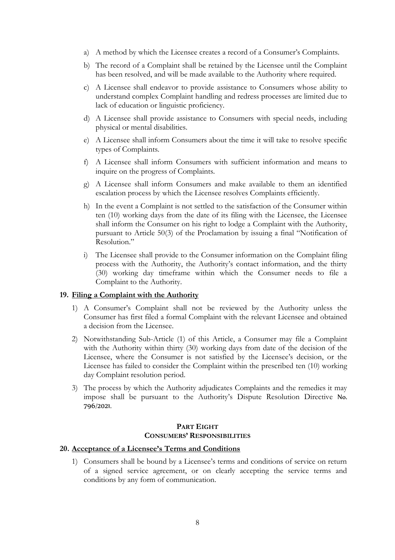- a) A method by which the Licensee creates a record of a Consumer's Complaints.
- b) The record of a Complaint shall be retained by the Licensee until the Complaint has been resolved, and will be made available to the Authority where required.
- c) A Licensee shall endeavor to provide assistance to Consumers whose ability to understand complex Complaint handling and redress processes are limited due to lack of education or linguistic proficiency.
- d) A Licensee shall provide assistance to Consumers with special needs, including physical or mental disabilities.
- e) A Licensee shall inform Consumers about the time it will take to resolve specific types of Complaints.
- f) A Licensee shall inform Consumers with sufficient information and means to inquire on the progress of Complaints.
- g) A Licensee shall inform Consumers and make available to them an identified escalation process by which the Licensee resolves Complaints efficiently.
- h) In the event a Complaint is not settled to the satisfaction of the Consumer within ten (10) working days from the date of its filing with the Licensee, the Licensee shall inform the Consumer on his right to lodge a Complaint with the Authority, pursuant to Article 50(3) of the Proclamation by issuing a final "Notification of Resolution."
- i) The Licensee shall provide to the Consumer information on the Complaint filing process with the Authority, the Authority's contact information, and the thirty (30) working day timeframe within which the Consumer needs to file a Complaint to the Authority.

#### **19. Filing a Complaint with the Authority**

- 1) A Consumer's Complaint shall not be reviewed by the Authority unless the Consumer has first filed a formal Complaint with the relevant Licensee and obtained a decision from the Licensee.
- 2) Notwithstanding Sub-Article (1) of this Article, a Consumer may file a Complaint with the Authority within thirty (30) working days from date of the decision of the Licensee, where the Consumer is not satisfied by the Licensee's decision, or the Licensee has failed to consider the Complaint within the prescribed ten (10) working day Complaint resolution period.
- 3) The process by which the Authority adjudicates Complaints and the remedies it may impose shall be pursuant to the Authority's Dispute Resolution Directive No. 796/2021.

#### **PART EIGHT CONSUMERS' RESPONSIBILITIES**

#### **20. Acceptance of a Licensee's Terms and Conditions**

1) Consumers shall be bound by a Licensee's terms and conditions of service on return of a signed service agreement, or on clearly accepting the service terms and conditions by any form of communication.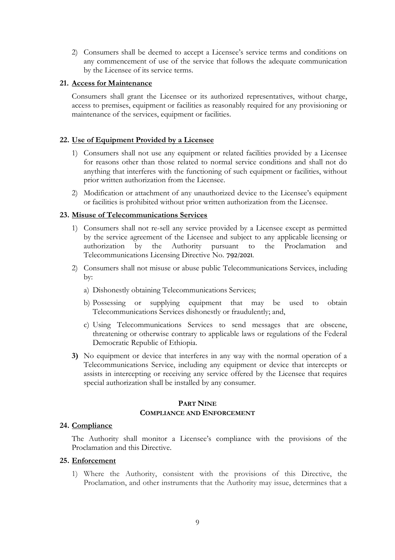2) Consumers shall be deemed to accept a Licensee's service terms and conditions on any commencement of use of the service that follows the adequate communication by the Licensee of its service terms.

## **21. Access for Maintenance**

Consumers shall grant the Licensee or its authorized representatives, without charge, access to premises, equipment or facilities as reasonably required for any provisioning or maintenance of the services, equipment or facilities.

# **22. Use of Equipment Provided by a Licensee**

- 1) Consumers shall not use any equipment or related facilities provided by a Licensee for reasons other than those related to normal service conditions and shall not do anything that interferes with the functioning of such equipment or facilities, without prior written authorization from the Licensee.
- 2) Modification or attachment of any unauthorized device to the Licensee's equipment or facilities is prohibited without prior written authorization from the Licensee.

#### **23. Misuse of Telecommunications Services**

- 1) Consumers shall not re-sell any service provided by a Licensee except as permitted by the service agreement of the Licensee and subject to any applicable licensing or authorization by the Authority pursuant to the Proclamation and Telecommunications Licensing Directive No. 792/2021.
- 2) Consumers shall not misuse or abuse public Telecommunications Services, including by:
	- a) Dishonestly obtaining Telecommunications Services;
	- b) Possessing or supplying equipment that may be used to obtain Telecommunications Services dishonestly or fraudulently; and,
	- c) Using Telecommunications Services to send messages that are obscene, threatening or otherwise contrary to applicable laws or regulations of the Federal Democratic Republic of Ethiopia.
- **3)** No equipment or device that interferes in any way with the normal operation of a Telecommunications Service, including any equipment or device that intercepts or assists in intercepting or receiving any service offered by the Licensee that requires special authorization shall be installed by any consumer.

# **PART NINE COMPLIANCE AND ENFORCEMENT**

#### **24. Compliance**

The Authority shall monitor a Licensee's compliance with the provisions of the Proclamation and this Directive.

#### **25. Enforcement**

1) Where the Authority, consistent with the provisions of this Directive, the Proclamation, and other instruments that the Authority may issue, determines that a